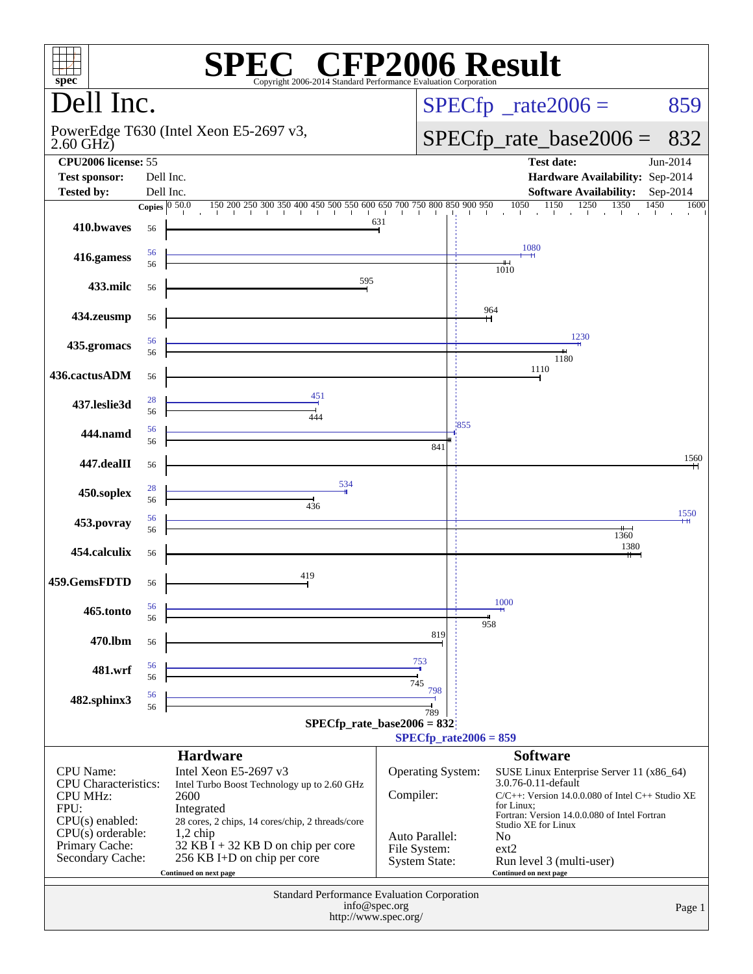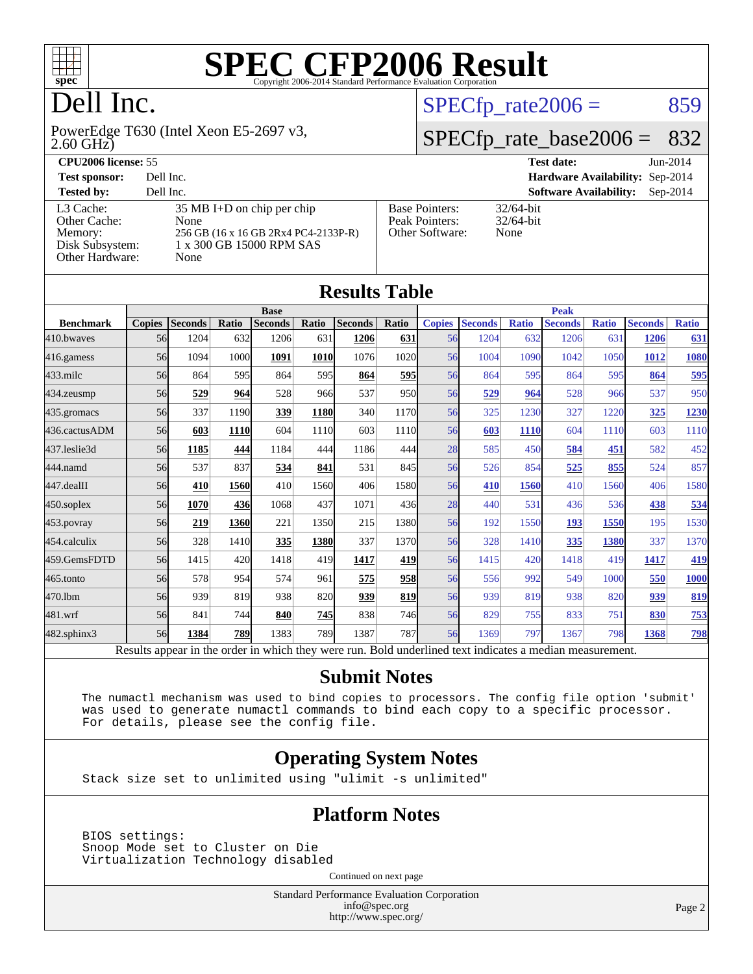

# Dell Inc.

2.60 GHz) PowerEdge T630 (Intel Xeon E5-2697 v3,

#### [L3 Cache:](http://www.spec.org/auto/cpu2006/Docs/result-fields.html#L3Cache) 35 MB I+D on chip per chip<br>Other Cache: None [Other Cache:](http://www.spec.org/auto/cpu2006/Docs/result-fields.html#OtherCache) [Memory:](http://www.spec.org/auto/cpu2006/Docs/result-fields.html#Memory) 256 GB (16 x 16 GB 2Rx4 PC4-2133P-R) [Disk Subsystem:](http://www.spec.org/auto/cpu2006/Docs/result-fields.html#DiskSubsystem) 1 x 300 GB 15000 RPM SAS [Other Hardware:](http://www.spec.org/auto/cpu2006/Docs/result-fields.html#OtherHardware) None

| <b>CPU2006 license: 55</b> |                                      |                       |              | <b>Test date:</b>                      | $Jun-2014$ |
|----------------------------|--------------------------------------|-----------------------|--------------|----------------------------------------|------------|
| <b>Test sponsor:</b>       | Dell Inc.                            |                       |              | <b>Hardware Availability: Sep-2014</b> |            |
| <b>Tested by:</b>          | Dell Inc.                            |                       |              | <b>Software Availability:</b>          | $Sep-2014$ |
| L3 Cache:                  | $35 \text{ MB I+D}$ on chip per chip | <b>Base Pointers:</b> | $32/64$ -bit |                                        |            |

[Peak Pointers:](http://www.spec.org/auto/cpu2006/Docs/result-fields.html#PeakPointers) 32/64-bit [Other Software:](http://www.spec.org/auto/cpu2006/Docs/result-fields.html#OtherSoftware) None

 $SPECTp_rate2006 = 859$ 

[SPECfp\\_rate\\_base2006 =](http://www.spec.org/auto/cpu2006/Docs/result-fields.html#SPECfpratebase2006) 832

| <b>Results Table</b> |               |                |       |                |             |                |             |               |                |              |                |              |                |              |
|----------------------|---------------|----------------|-------|----------------|-------------|----------------|-------------|---------------|----------------|--------------|----------------|--------------|----------------|--------------|
|                      | <b>Base</b>   |                |       |                |             |                | <b>Peak</b> |               |                |              |                |              |                |              |
| <b>Benchmark</b>     | <b>Copies</b> | <b>Seconds</b> | Ratio | <b>Seconds</b> | Ratio       | <b>Seconds</b> | Ratio       | <b>Copies</b> | <b>Seconds</b> | <b>Ratio</b> | <b>Seconds</b> | <b>Ratio</b> | <b>Seconds</b> | <b>Ratio</b> |
| 410.bwayes           | 56            | 1204           | 632   | 1206           | 631         | 1206           | 631         | 56            | 1204           | 632          | 1206           | 631          | 1206           | 631          |
| $416$ .gamess        | 56            | 1094           | 1000  | 1091           | <b>1010</b> | 1076           | 1020        | 56            | 1004           | 1090         | 1042           | 1050         | 1012           | 1080         |
| $433$ .milc          | 56            | 864            | 595   | 864            | 595         | 864            | 595         | 56            | 864            | 595          | 864            | 595          | 864            | 595          |
| 434.zeusmp           | 56            | 529            | 964   | 528            | 966         | 537            | 950         | 56            | 529            | 964          | 528            | 966          | 537            | 950          |
| 435.gromacs          | 56            | 337            | 1190  | 339            | 1180        | 340            | 1170        | 56            | 325            | 1230         | 327            | 1220         | 325            | 1230         |
| 436.cactusADM        | 56            | 603            | 1110  | 604            | 1110        | 603            | 1110        | 56            | 603            | <b>1110</b>  | 604            | 1110         | 603            | 1110         |
| 437.leslie3d         | 56            | 1185           | 444   | 1184           | 444         | 1186           | 444         | 28            | 585            | 450          | 584            | 451          | 582            | 452          |
| 444.namd             | 56            | 537            | 837   | 534            | 841         | 531            | 845         | 56            | 526            | 854          | 525            | 855          | 524            | 857          |
| 447.dealII           | 56            | 410            | 1560  | 410            | 1560        | 406            | 1580        | 56            | 410            | 1560         | 410            | 1560         | 406            | 1580         |
| $450$ .soplex        | 56            | 1070           | 436   | 1068           | 437         | 1071           | 436         | 28            | 440            | 531          | 436            | 536          | 438            | 534          |
| $453$ .povray        | 56            | 219            | 1360  | 221            | 1350        | 215            | 1380        | 56            | 192            | 1550         | 193            | 1550         | 195            | 1530         |
| 454.calculix         | 56            | 328            | 1410  | 335            | 1380        | 337            | 1370        | 56            | 328            | 1410         | 335            | 1380         | 337            | 1370         |
| 459.GemsFDTD         | 56            | 1415           | 420   | 1418           | 419         | 1417           | 419         | 56            | 1415           | 420          | 1418           | 419          | 1417           | 419          |
| 465.tonto            | 56            | 578            | 954   | 574            | 961         | 575            | 958         | 56            | 556            | 992          | 549            | 1000         | 550            | 1000         |
| 470.1bm              | 56            | 939            | 819   | 938            | 820         | 939            | 819         | 56            | 939            | 819          | 938            | 820          | 939            | 819          |
| 481.wrf              | 56            | 841            | 744   | 840            | 745         | 838            | 746         | 56            | 829            | 755          | 833            | 751          | 830            | 753          |
| 482.sphinx3          | 56            | 1384           | 789   | 1383           | 789         | 1387           | 787         | 56            | 1369           | 797          | 1367           | 798          | 1368           | 798          |

Results appear in the [order in which they were run.](http://www.spec.org/auto/cpu2006/Docs/result-fields.html#RunOrder) Bold underlined text [indicates a median measurement.](http://www.spec.org/auto/cpu2006/Docs/result-fields.html#Median)

#### **[Submit Notes](http://www.spec.org/auto/cpu2006/Docs/result-fields.html#SubmitNotes)**

 The numactl mechanism was used to bind copies to processors. The config file option 'submit' was used to generate numactl commands to bind each copy to a specific processor. For details, please see the config file.

#### **[Operating System Notes](http://www.spec.org/auto/cpu2006/Docs/result-fields.html#OperatingSystemNotes)**

Stack size set to unlimited using "ulimit -s unlimited"

#### **[Platform Notes](http://www.spec.org/auto/cpu2006/Docs/result-fields.html#PlatformNotes)**

 BIOS settings: Snoop Mode set to Cluster on Die Virtualization Technology disabled

Continued on next page

Standard Performance Evaluation Corporation [info@spec.org](mailto:info@spec.org) <http://www.spec.org/>

Page 2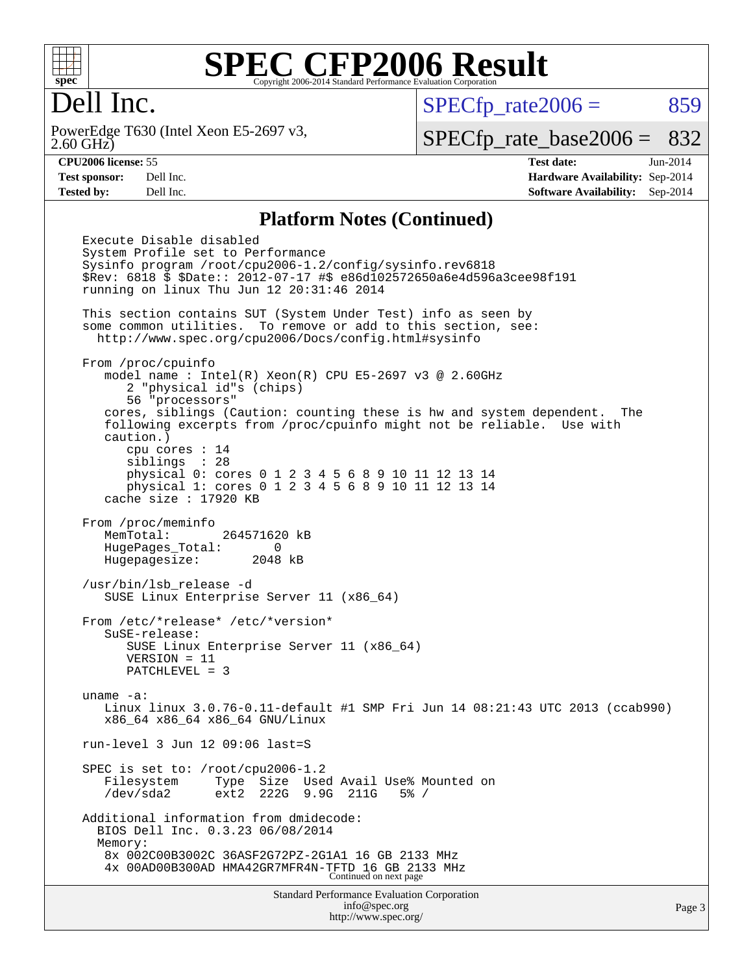

### Dell Inc.

2.60 GHz) PowerEdge T630 (Intel Xeon E5-2697 v3,  $SPECTp_rate2006 = 859$ 

[SPECfp\\_rate\\_base2006 =](http://www.spec.org/auto/cpu2006/Docs/result-fields.html#SPECfpratebase2006) 832

**[CPU2006 license:](http://www.spec.org/auto/cpu2006/Docs/result-fields.html#CPU2006license)** 55 **[Test date:](http://www.spec.org/auto/cpu2006/Docs/result-fields.html#Testdate)** Jun-2014 **[Test sponsor:](http://www.spec.org/auto/cpu2006/Docs/result-fields.html#Testsponsor)** Dell Inc. **[Hardware Availability:](http://www.spec.org/auto/cpu2006/Docs/result-fields.html#HardwareAvailability)** Sep-2014 **[Tested by:](http://www.spec.org/auto/cpu2006/Docs/result-fields.html#Testedby)** Dell Inc. **[Software Availability:](http://www.spec.org/auto/cpu2006/Docs/result-fields.html#SoftwareAvailability)** Sep-2014

#### **[Platform Notes \(Continued\)](http://www.spec.org/auto/cpu2006/Docs/result-fields.html#PlatformNotes)**

Standard Performance Evaluation Corporation [info@spec.org](mailto:info@spec.org) Execute Disable disabled System Profile set to Performance Sysinfo program /root/cpu2006-1.2/config/sysinfo.rev6818 \$Rev: 6818 \$ \$Date:: 2012-07-17 #\$ e86d102572650a6e4d596a3cee98f191 running on linux Thu Jun 12 20:31:46 2014 This section contains SUT (System Under Test) info as seen by some common utilities. To remove or add to this section, see: <http://www.spec.org/cpu2006/Docs/config.html#sysinfo> From /proc/cpuinfo model name : Intel(R) Xeon(R) CPU E5-2697 v3 @ 2.60GHz 2 "physical id"s (chips) 56 "processors" cores, siblings (Caution: counting these is hw and system dependent. The following excerpts from /proc/cpuinfo might not be reliable. Use with caution.) cpu cores : 14 siblings : 28 physical 0: cores 0 1 2 3 4 5 6 8 9 10 11 12 13 14 physical 1: cores 0 1 2 3 4 5 6 8 9 10 11 12 13 14 cache size : 17920 KB From /proc/meminfo MemTotal: 264571620 kB HugePages\_Total: 0 Hugepagesize: 2048 kB /usr/bin/lsb\_release -d SUSE Linux Enterprise Server 11 (x86\_64) From /etc/\*release\* /etc/\*version\* SuSE-release: SUSE Linux Enterprise Server 11 (x86\_64) VERSION = 11 PATCHLEVEL = 3 uname -a: Linux linux 3.0.76-0.11-default #1 SMP Fri Jun 14 08:21:43 UTC 2013 (ccab990) x86\_64 x86\_64 x86\_64 GNU/Linux run-level 3 Jun 12 09:06 last=S SPEC is set to: /root/cpu2006-1.2 Filesystem Type Size Used Avail Use% Mounted on /dev/sda2 ext2 222G 9.9G 211G 5% / Additional information from dmidecode: BIOS Dell Inc. 0.3.23 06/08/2014 Memory: 8x 002C00B3002C 36ASF2G72PZ-2G1A1 16 GB 2133 MHz 4x 00AD00B300AD HMA42GR7MFR4N-TFTD 16 GB 2133 MHz Continued on next page

<http://www.spec.org/>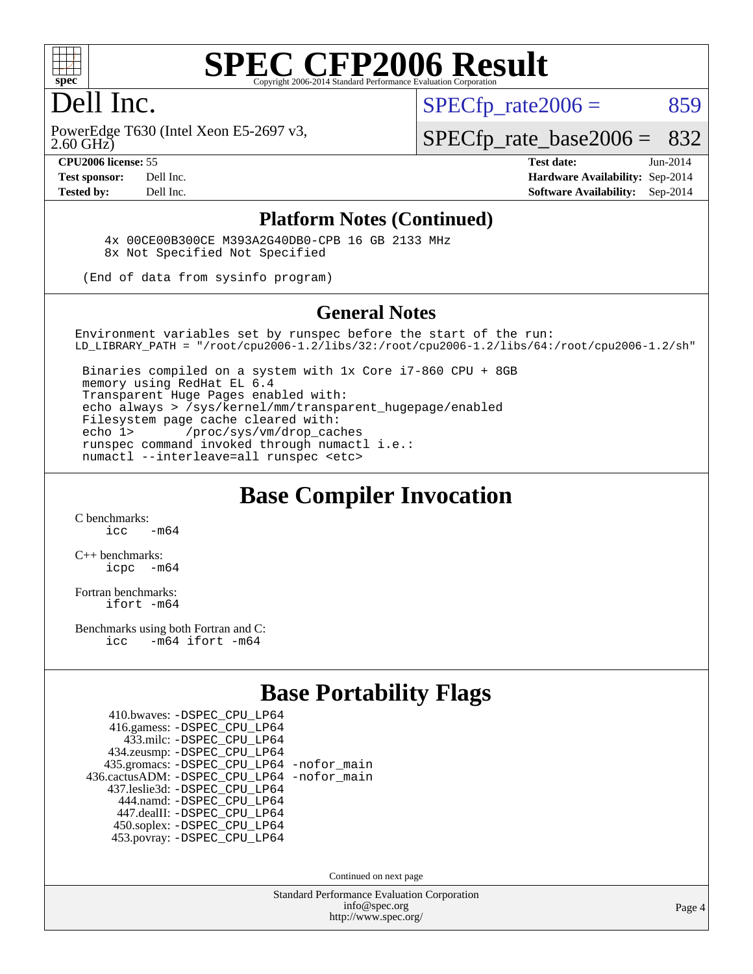

### Dell Inc.

2.60 GHz) PowerEdge T630 (Intel Xeon E5-2697 v3,  $SPECTp\_rate2006 = 859$ 

[SPECfp\\_rate\\_base2006 =](http://www.spec.org/auto/cpu2006/Docs/result-fields.html#SPECfpratebase2006) 832

**[CPU2006 license:](http://www.spec.org/auto/cpu2006/Docs/result-fields.html#CPU2006license)** 55 **[Test date:](http://www.spec.org/auto/cpu2006/Docs/result-fields.html#Testdate)** Jun-2014 **[Test sponsor:](http://www.spec.org/auto/cpu2006/Docs/result-fields.html#Testsponsor)** Dell Inc. **[Hardware Availability:](http://www.spec.org/auto/cpu2006/Docs/result-fields.html#HardwareAvailability)** Sep-2014 **[Tested by:](http://www.spec.org/auto/cpu2006/Docs/result-fields.html#Testedby)** Dell Inc. **[Software Availability:](http://www.spec.org/auto/cpu2006/Docs/result-fields.html#SoftwareAvailability)** Sep-2014

#### **[Platform Notes \(Continued\)](http://www.spec.org/auto/cpu2006/Docs/result-fields.html#PlatformNotes)**

 4x 00CE00B300CE M393A2G40DB0-CPB 16 GB 2133 MHz 8x Not Specified Not Specified

(End of data from sysinfo program)

#### **[General Notes](http://www.spec.org/auto/cpu2006/Docs/result-fields.html#GeneralNotes)**

Environment variables set by runspec before the start of the run: LD\_LIBRARY\_PATH = "/root/cpu2006-1.2/libs/32:/root/cpu2006-1.2/libs/64:/root/cpu2006-1.2/sh"

 Binaries compiled on a system with 1x Core i7-860 CPU + 8GB memory using RedHat EL 6.4 Transparent Huge Pages enabled with: echo always > /sys/kernel/mm/transparent\_hugepage/enabled Filesystem page cache cleared with: echo 1> /proc/sys/vm/drop\_caches runspec command invoked through numactl i.e.: numactl --interleave=all runspec <etc>

#### **[Base Compiler Invocation](http://www.spec.org/auto/cpu2006/Docs/result-fields.html#BaseCompilerInvocation)**

[C benchmarks](http://www.spec.org/auto/cpu2006/Docs/result-fields.html#Cbenchmarks):  $\frac{1}{2}$  cc  $-$  m64

[C++ benchmarks:](http://www.spec.org/auto/cpu2006/Docs/result-fields.html#CXXbenchmarks) [icpc -m64](http://www.spec.org/cpu2006/results/res2014q3/cpu2006-20140909-31328.flags.html#user_CXXbase_intel_icpc_64bit_bedb90c1146cab66620883ef4f41a67e)

[Fortran benchmarks](http://www.spec.org/auto/cpu2006/Docs/result-fields.html#Fortranbenchmarks): [ifort -m64](http://www.spec.org/cpu2006/results/res2014q3/cpu2006-20140909-31328.flags.html#user_FCbase_intel_ifort_64bit_ee9d0fb25645d0210d97eb0527dcc06e)

[Benchmarks using both Fortran and C](http://www.spec.org/auto/cpu2006/Docs/result-fields.html#BenchmarksusingbothFortranandC): [icc -m64](http://www.spec.org/cpu2006/results/res2014q3/cpu2006-20140909-31328.flags.html#user_CC_FCbase_intel_icc_64bit_0b7121f5ab7cfabee23d88897260401c) [ifort -m64](http://www.spec.org/cpu2006/results/res2014q3/cpu2006-20140909-31328.flags.html#user_CC_FCbase_intel_ifort_64bit_ee9d0fb25645d0210d97eb0527dcc06e)

#### **[Base Portability Flags](http://www.spec.org/auto/cpu2006/Docs/result-fields.html#BasePortabilityFlags)**

| 410.bwaves: - DSPEC CPU LP64                 |  |
|----------------------------------------------|--|
| 416.gamess: -DSPEC_CPU_LP64                  |  |
| 433.milc: -DSPEC CPU LP64                    |  |
| 434.zeusmp: -DSPEC_CPU_LP64                  |  |
| 435.gromacs: -DSPEC_CPU_LP64 -nofor_main     |  |
| 436.cactusADM: - DSPEC CPU LP64 - nofor main |  |
| 437.leslie3d: -DSPEC_CPU_LP64                |  |
| 444.namd: - DSPEC CPU LP64                   |  |
| 447.dealII: -DSPEC CPU LP64                  |  |
| 450.soplex: -DSPEC_CPU_LP64                  |  |
| 453.povray: -DSPEC CPU LP64                  |  |

Continued on next page

Standard Performance Evaluation Corporation [info@spec.org](mailto:info@spec.org) <http://www.spec.org/>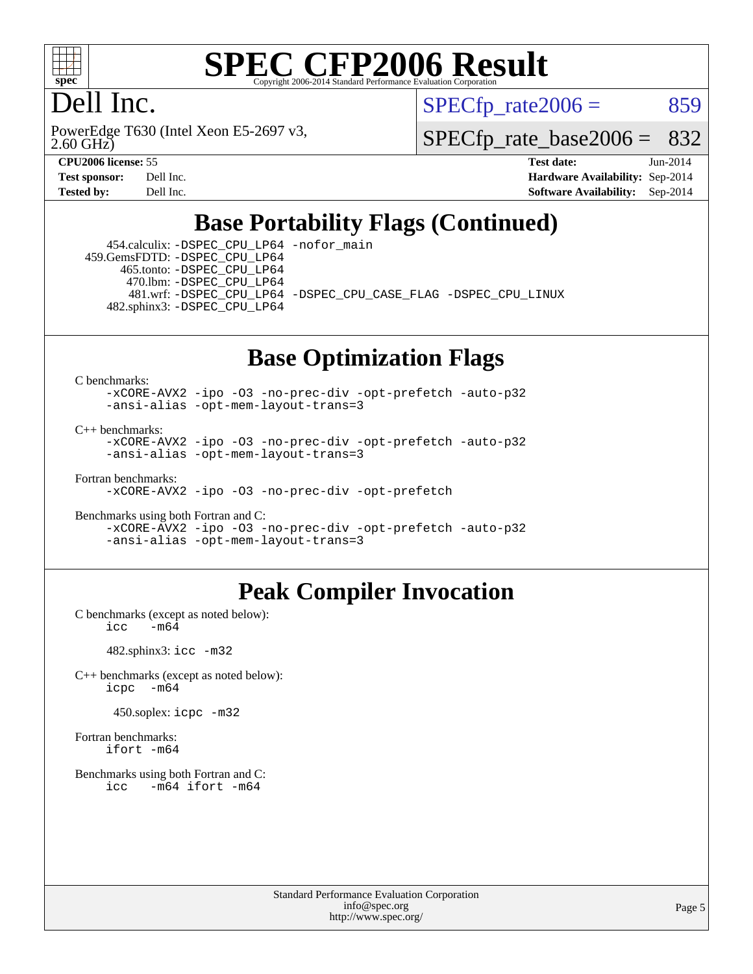

### Dell Inc.

2.60 GHz) PowerEdge T630 (Intel Xeon E5-2697 v3,  $SPECTp\_rate2006 = 859$ 

[SPECfp\\_rate\\_base2006 =](http://www.spec.org/auto/cpu2006/Docs/result-fields.html#SPECfpratebase2006) 832

**[CPU2006 license:](http://www.spec.org/auto/cpu2006/Docs/result-fields.html#CPU2006license)** 55 **[Test date:](http://www.spec.org/auto/cpu2006/Docs/result-fields.html#Testdate)** Jun-2014 **[Test sponsor:](http://www.spec.org/auto/cpu2006/Docs/result-fields.html#Testsponsor)** Dell Inc. **[Hardware Availability:](http://www.spec.org/auto/cpu2006/Docs/result-fields.html#HardwareAvailability)** Sep-2014 **[Tested by:](http://www.spec.org/auto/cpu2006/Docs/result-fields.html#Testedby)** Dell Inc. **[Software Availability:](http://www.spec.org/auto/cpu2006/Docs/result-fields.html#SoftwareAvailability)** Sep-2014

### **[Base Portability Flags \(Continued\)](http://www.spec.org/auto/cpu2006/Docs/result-fields.html#BasePortabilityFlags)**

 454.calculix: [-DSPEC\\_CPU\\_LP64](http://www.spec.org/cpu2006/results/res2014q3/cpu2006-20140909-31328.flags.html#suite_basePORTABILITY454_calculix_DSPEC_CPU_LP64) [-nofor\\_main](http://www.spec.org/cpu2006/results/res2014q3/cpu2006-20140909-31328.flags.html#user_baseLDPORTABILITY454_calculix_f-nofor_main) 459.GemsFDTD: [-DSPEC\\_CPU\\_LP64](http://www.spec.org/cpu2006/results/res2014q3/cpu2006-20140909-31328.flags.html#suite_basePORTABILITY459_GemsFDTD_DSPEC_CPU_LP64) 465.tonto: [-DSPEC\\_CPU\\_LP64](http://www.spec.org/cpu2006/results/res2014q3/cpu2006-20140909-31328.flags.html#suite_basePORTABILITY465_tonto_DSPEC_CPU_LP64) 470.lbm: [-DSPEC\\_CPU\\_LP64](http://www.spec.org/cpu2006/results/res2014q3/cpu2006-20140909-31328.flags.html#suite_basePORTABILITY470_lbm_DSPEC_CPU_LP64) 481.wrf: [-DSPEC\\_CPU\\_LP64](http://www.spec.org/cpu2006/results/res2014q3/cpu2006-20140909-31328.flags.html#suite_basePORTABILITY481_wrf_DSPEC_CPU_LP64) [-DSPEC\\_CPU\\_CASE\\_FLAG](http://www.spec.org/cpu2006/results/res2014q3/cpu2006-20140909-31328.flags.html#b481.wrf_baseCPORTABILITY_DSPEC_CPU_CASE_FLAG) [-DSPEC\\_CPU\\_LINUX](http://www.spec.org/cpu2006/results/res2014q3/cpu2006-20140909-31328.flags.html#b481.wrf_baseCPORTABILITY_DSPEC_CPU_LINUX) 482.sphinx3: [-DSPEC\\_CPU\\_LP64](http://www.spec.org/cpu2006/results/res2014q3/cpu2006-20140909-31328.flags.html#suite_basePORTABILITY482_sphinx3_DSPEC_CPU_LP64)

### **[Base Optimization Flags](http://www.spec.org/auto/cpu2006/Docs/result-fields.html#BaseOptimizationFlags)**

[C benchmarks](http://www.spec.org/auto/cpu2006/Docs/result-fields.html#Cbenchmarks):

[-xCORE-AVX2](http://www.spec.org/cpu2006/results/res2014q3/cpu2006-20140909-31328.flags.html#user_CCbase_f-xAVX2_5f5fc0cbe2c9f62c816d3e45806c70d7) [-ipo](http://www.spec.org/cpu2006/results/res2014q3/cpu2006-20140909-31328.flags.html#user_CCbase_f-ipo) [-O3](http://www.spec.org/cpu2006/results/res2014q3/cpu2006-20140909-31328.flags.html#user_CCbase_f-O3) [-no-prec-div](http://www.spec.org/cpu2006/results/res2014q3/cpu2006-20140909-31328.flags.html#user_CCbase_f-no-prec-div) [-opt-prefetch](http://www.spec.org/cpu2006/results/res2014q3/cpu2006-20140909-31328.flags.html#user_CCbase_f-opt-prefetch) [-auto-p32](http://www.spec.org/cpu2006/results/res2014q3/cpu2006-20140909-31328.flags.html#user_CCbase_f-auto-p32) [-ansi-alias](http://www.spec.org/cpu2006/results/res2014q3/cpu2006-20140909-31328.flags.html#user_CCbase_f-ansi-alias) [-opt-mem-layout-trans=3](http://www.spec.org/cpu2006/results/res2014q3/cpu2006-20140909-31328.flags.html#user_CCbase_f-opt-mem-layout-trans_a7b82ad4bd7abf52556d4961a2ae94d5)

[C++ benchmarks:](http://www.spec.org/auto/cpu2006/Docs/result-fields.html#CXXbenchmarks)

[-xCORE-AVX2](http://www.spec.org/cpu2006/results/res2014q3/cpu2006-20140909-31328.flags.html#user_CXXbase_f-xAVX2_5f5fc0cbe2c9f62c816d3e45806c70d7) [-ipo](http://www.spec.org/cpu2006/results/res2014q3/cpu2006-20140909-31328.flags.html#user_CXXbase_f-ipo) [-O3](http://www.spec.org/cpu2006/results/res2014q3/cpu2006-20140909-31328.flags.html#user_CXXbase_f-O3) [-no-prec-div](http://www.spec.org/cpu2006/results/res2014q3/cpu2006-20140909-31328.flags.html#user_CXXbase_f-no-prec-div) [-opt-prefetch](http://www.spec.org/cpu2006/results/res2014q3/cpu2006-20140909-31328.flags.html#user_CXXbase_f-opt-prefetch) [-auto-p32](http://www.spec.org/cpu2006/results/res2014q3/cpu2006-20140909-31328.flags.html#user_CXXbase_f-auto-p32) [-ansi-alias](http://www.spec.org/cpu2006/results/res2014q3/cpu2006-20140909-31328.flags.html#user_CXXbase_f-ansi-alias) [-opt-mem-layout-trans=3](http://www.spec.org/cpu2006/results/res2014q3/cpu2006-20140909-31328.flags.html#user_CXXbase_f-opt-mem-layout-trans_a7b82ad4bd7abf52556d4961a2ae94d5)

[Fortran benchmarks](http://www.spec.org/auto/cpu2006/Docs/result-fields.html#Fortranbenchmarks):

[-xCORE-AVX2](http://www.spec.org/cpu2006/results/res2014q3/cpu2006-20140909-31328.flags.html#user_FCbase_f-xAVX2_5f5fc0cbe2c9f62c816d3e45806c70d7) [-ipo](http://www.spec.org/cpu2006/results/res2014q3/cpu2006-20140909-31328.flags.html#user_FCbase_f-ipo) [-O3](http://www.spec.org/cpu2006/results/res2014q3/cpu2006-20140909-31328.flags.html#user_FCbase_f-O3) [-no-prec-div](http://www.spec.org/cpu2006/results/res2014q3/cpu2006-20140909-31328.flags.html#user_FCbase_f-no-prec-div) [-opt-prefetch](http://www.spec.org/cpu2006/results/res2014q3/cpu2006-20140909-31328.flags.html#user_FCbase_f-opt-prefetch)

[Benchmarks using both Fortran and C](http://www.spec.org/auto/cpu2006/Docs/result-fields.html#BenchmarksusingbothFortranandC): [-xCORE-AVX2](http://www.spec.org/cpu2006/results/res2014q3/cpu2006-20140909-31328.flags.html#user_CC_FCbase_f-xAVX2_5f5fc0cbe2c9f62c816d3e45806c70d7) [-ipo](http://www.spec.org/cpu2006/results/res2014q3/cpu2006-20140909-31328.flags.html#user_CC_FCbase_f-ipo) [-O3](http://www.spec.org/cpu2006/results/res2014q3/cpu2006-20140909-31328.flags.html#user_CC_FCbase_f-O3) [-no-prec-div](http://www.spec.org/cpu2006/results/res2014q3/cpu2006-20140909-31328.flags.html#user_CC_FCbase_f-no-prec-div) [-opt-prefetch](http://www.spec.org/cpu2006/results/res2014q3/cpu2006-20140909-31328.flags.html#user_CC_FCbase_f-opt-prefetch) [-auto-p32](http://www.spec.org/cpu2006/results/res2014q3/cpu2006-20140909-31328.flags.html#user_CC_FCbase_f-auto-p32) [-ansi-alias](http://www.spec.org/cpu2006/results/res2014q3/cpu2006-20140909-31328.flags.html#user_CC_FCbase_f-ansi-alias) [-opt-mem-layout-trans=3](http://www.spec.org/cpu2006/results/res2014q3/cpu2006-20140909-31328.flags.html#user_CC_FCbase_f-opt-mem-layout-trans_a7b82ad4bd7abf52556d4961a2ae94d5)

### **[Peak Compiler Invocation](http://www.spec.org/auto/cpu2006/Docs/result-fields.html#PeakCompilerInvocation)**

[C benchmarks \(except as noted below\)](http://www.spec.org/auto/cpu2006/Docs/result-fields.html#Cbenchmarksexceptasnotedbelow):<br> $\frac{1}{\text{CC}}$  -m64  $-m64$ 

482.sphinx3: [icc -m32](http://www.spec.org/cpu2006/results/res2014q3/cpu2006-20140909-31328.flags.html#user_peakCCLD482_sphinx3_intel_icc_a6a621f8d50482236b970c6ac5f55f93)

[C++ benchmarks \(except as noted below\):](http://www.spec.org/auto/cpu2006/Docs/result-fields.html#CXXbenchmarksexceptasnotedbelow) [icpc -m64](http://www.spec.org/cpu2006/results/res2014q3/cpu2006-20140909-31328.flags.html#user_CXXpeak_intel_icpc_64bit_bedb90c1146cab66620883ef4f41a67e)

450.soplex: [icpc -m32](http://www.spec.org/cpu2006/results/res2014q3/cpu2006-20140909-31328.flags.html#user_peakCXXLD450_soplex_intel_icpc_4e5a5ef1a53fd332b3c49e69c3330699)

[Fortran benchmarks](http://www.spec.org/auto/cpu2006/Docs/result-fields.html#Fortranbenchmarks): [ifort -m64](http://www.spec.org/cpu2006/results/res2014q3/cpu2006-20140909-31328.flags.html#user_FCpeak_intel_ifort_64bit_ee9d0fb25645d0210d97eb0527dcc06e)

[Benchmarks using both Fortran and C](http://www.spec.org/auto/cpu2006/Docs/result-fields.html#BenchmarksusingbothFortranandC): [icc -m64](http://www.spec.org/cpu2006/results/res2014q3/cpu2006-20140909-31328.flags.html#user_CC_FCpeak_intel_icc_64bit_0b7121f5ab7cfabee23d88897260401c) [ifort -m64](http://www.spec.org/cpu2006/results/res2014q3/cpu2006-20140909-31328.flags.html#user_CC_FCpeak_intel_ifort_64bit_ee9d0fb25645d0210d97eb0527dcc06e)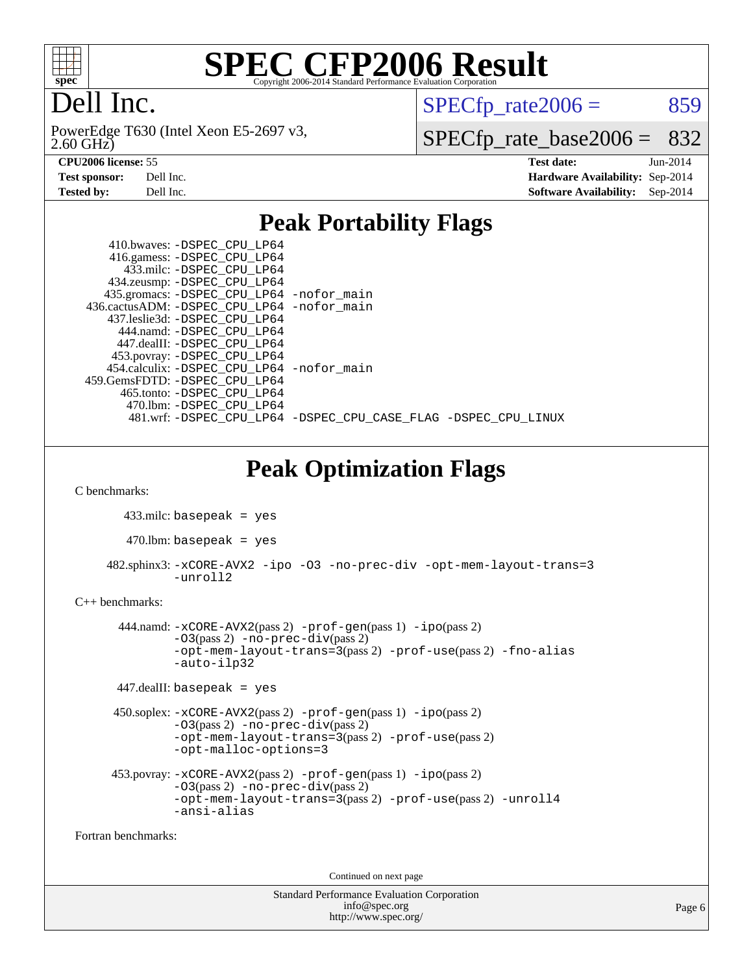

# Dell Inc.

2.60 GHz) PowerEdge T630 (Intel Xeon E5-2697 v3,  $SPECTp\_rate2006 = 859$ 

[SPECfp\\_rate\\_base2006 =](http://www.spec.org/auto/cpu2006/Docs/result-fields.html#SPECfpratebase2006) 832

**[CPU2006 license:](http://www.spec.org/auto/cpu2006/Docs/result-fields.html#CPU2006license)** 55 **[Test date:](http://www.spec.org/auto/cpu2006/Docs/result-fields.html#Testdate)** Jun-2014 **[Test sponsor:](http://www.spec.org/auto/cpu2006/Docs/result-fields.html#Testsponsor)** Dell Inc. **[Hardware Availability:](http://www.spec.org/auto/cpu2006/Docs/result-fields.html#HardwareAvailability)** Sep-2014 **[Tested by:](http://www.spec.org/auto/cpu2006/Docs/result-fields.html#Testedby)** Dell Inc. **[Software Availability:](http://www.spec.org/auto/cpu2006/Docs/result-fields.html#SoftwareAvailability)** Sep-2014

### **[Peak Portability Flags](http://www.spec.org/auto/cpu2006/Docs/result-fields.html#PeakPortabilityFlags)**

| 410.bwaves: -DSPEC CPU LP64<br>416.gamess: -DSPEC_CPU_LP64<br>433.milc: -DSPEC CPU LP64<br>434.zeusmp: -DSPEC_CPU_LP64 |  |  |
|------------------------------------------------------------------------------------------------------------------------|--|--|
| 435.gromacs: -DSPEC_CPU_LP64 -nofor_main                                                                               |  |  |
| 436.cactusADM: -DSPEC CPU LP64 -nofor main                                                                             |  |  |
| 437.leslie3d: -DSPEC CPU LP64                                                                                          |  |  |
| 444.namd: -DSPEC CPU LP64                                                                                              |  |  |
| 447.dealII: -DSPEC CPU LP64                                                                                            |  |  |
| 453.povray: -DSPEC_CPU_LP64                                                                                            |  |  |
| 454.calculix: -DSPEC CPU LP64 -nofor main                                                                              |  |  |
| 459.GemsFDTD: -DSPEC CPU LP64                                                                                          |  |  |
| 465.tonto: -DSPEC CPU LP64                                                                                             |  |  |
| 470.1bm: - DSPEC CPU LP64                                                                                              |  |  |
| 481.wrf: -DSPEC_CPU_LP64 -DSPEC_CPU_CASE_FLAG -DSPEC_CPU_LINUX                                                         |  |  |

**[Peak Optimization Flags](http://www.spec.org/auto/cpu2006/Docs/result-fields.html#PeakOptimizationFlags)**

[C benchmarks](http://www.spec.org/auto/cpu2006/Docs/result-fields.html#Cbenchmarks):

433.milc: basepeak = yes

 $470$ .lbm: basepeak = yes

 482.sphinx3: [-xCORE-AVX2](http://www.spec.org/cpu2006/results/res2014q3/cpu2006-20140909-31328.flags.html#user_peakOPTIMIZE482_sphinx3_f-xAVX2_5f5fc0cbe2c9f62c816d3e45806c70d7) [-ipo](http://www.spec.org/cpu2006/results/res2014q3/cpu2006-20140909-31328.flags.html#user_peakOPTIMIZE482_sphinx3_f-ipo) [-O3](http://www.spec.org/cpu2006/results/res2014q3/cpu2006-20140909-31328.flags.html#user_peakOPTIMIZE482_sphinx3_f-O3) [-no-prec-div](http://www.spec.org/cpu2006/results/res2014q3/cpu2006-20140909-31328.flags.html#user_peakOPTIMIZE482_sphinx3_f-no-prec-div) [-opt-mem-layout-trans=3](http://www.spec.org/cpu2006/results/res2014q3/cpu2006-20140909-31328.flags.html#user_peakOPTIMIZE482_sphinx3_f-opt-mem-layout-trans_a7b82ad4bd7abf52556d4961a2ae94d5) [-unroll2](http://www.spec.org/cpu2006/results/res2014q3/cpu2006-20140909-31328.flags.html#user_peakCOPTIMIZE482_sphinx3_f-unroll_784dae83bebfb236979b41d2422d7ec2)

#### [C++ benchmarks:](http://www.spec.org/auto/cpu2006/Docs/result-fields.html#CXXbenchmarks)

```
 444.namd: -xCORE-AVX2(pass 2) -prof-gen(pass 1) -ipo(pass 2)
         -03(pass 2) -no-prec-div(pass 2)
        -opt-mem-layout-trans=3(pass 2) -prof-use(pass 2) -fno-alias
         -auto-ilp32
447.dealII: basepeak = yes
450.soplex: -xCORE-AVX2(pass 2) -prof-gen(pass 1) -ipo(pass 2)
        -O3(pass 2) -no-prec-div(pass 2)
         -opt-mem-layout-trans=3(pass 2) -prof-use(pass 2)
         -opt-malloc-options=3
453.povray: -xCORE-AVX2(pass 2) -prof-gen(pass 1) -ipo(pass 2)
        -O3(pass 2) -no-prec-div(pass 2)
        -opt-mem-layout-trans=3(pass 2) -prof-use(pass 2) -unroll4
         -ansi-alias
```
[Fortran benchmarks](http://www.spec.org/auto/cpu2006/Docs/result-fields.html#Fortranbenchmarks):

Continued on next page

Standard Performance Evaluation Corporation [info@spec.org](mailto:info@spec.org) <http://www.spec.org/>